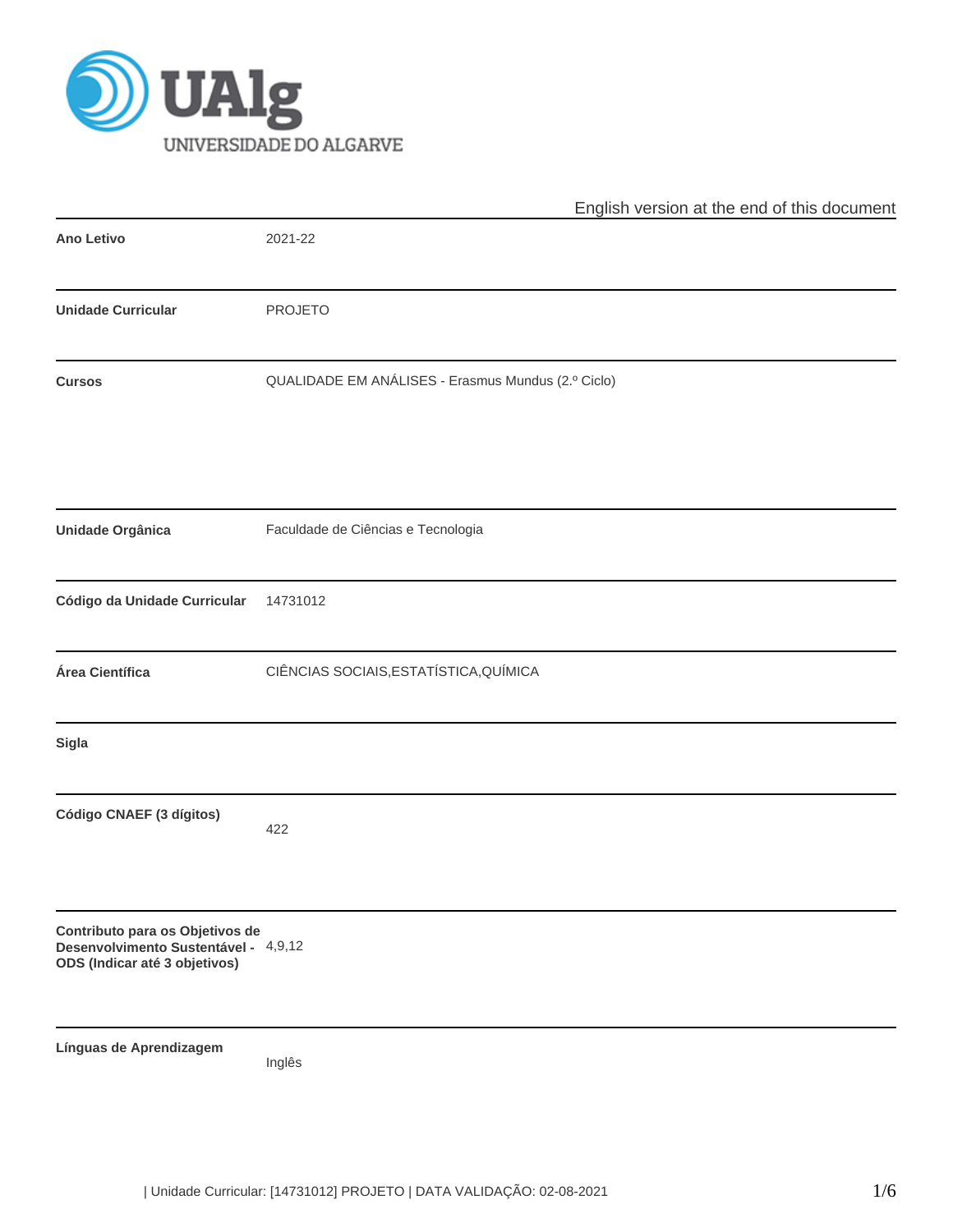

|                                                                                                          | English version at the end of this document        |
|----------------------------------------------------------------------------------------------------------|----------------------------------------------------|
| <b>Ano Letivo</b>                                                                                        | 2021-22                                            |
| <b>Unidade Curricular</b>                                                                                | <b>PROJETO</b>                                     |
| <b>Cursos</b>                                                                                            | QUALIDADE EM ANÁLISES - Erasmus Mundus (2.º Ciclo) |
| Unidade Orgânica                                                                                         | Faculdade de Ciências e Tecnologia                 |
| Código da Unidade Curricular                                                                             | 14731012                                           |
| Área Científica                                                                                          | CIÊNCIAS SOCIAIS, ESTATÍSTICA, QUÍMICA             |
| Sigla                                                                                                    |                                                    |
| Código CNAEF (3 dígitos)                                                                                 | 422                                                |
| Contributo para os Objetivos de<br>Desenvolvimento Sustentável - 4,9,12<br>ODS (Indicar até 3 objetivos) |                                                    |
| Línguas de Aprendizagem                                                                                  | Inglês                                             |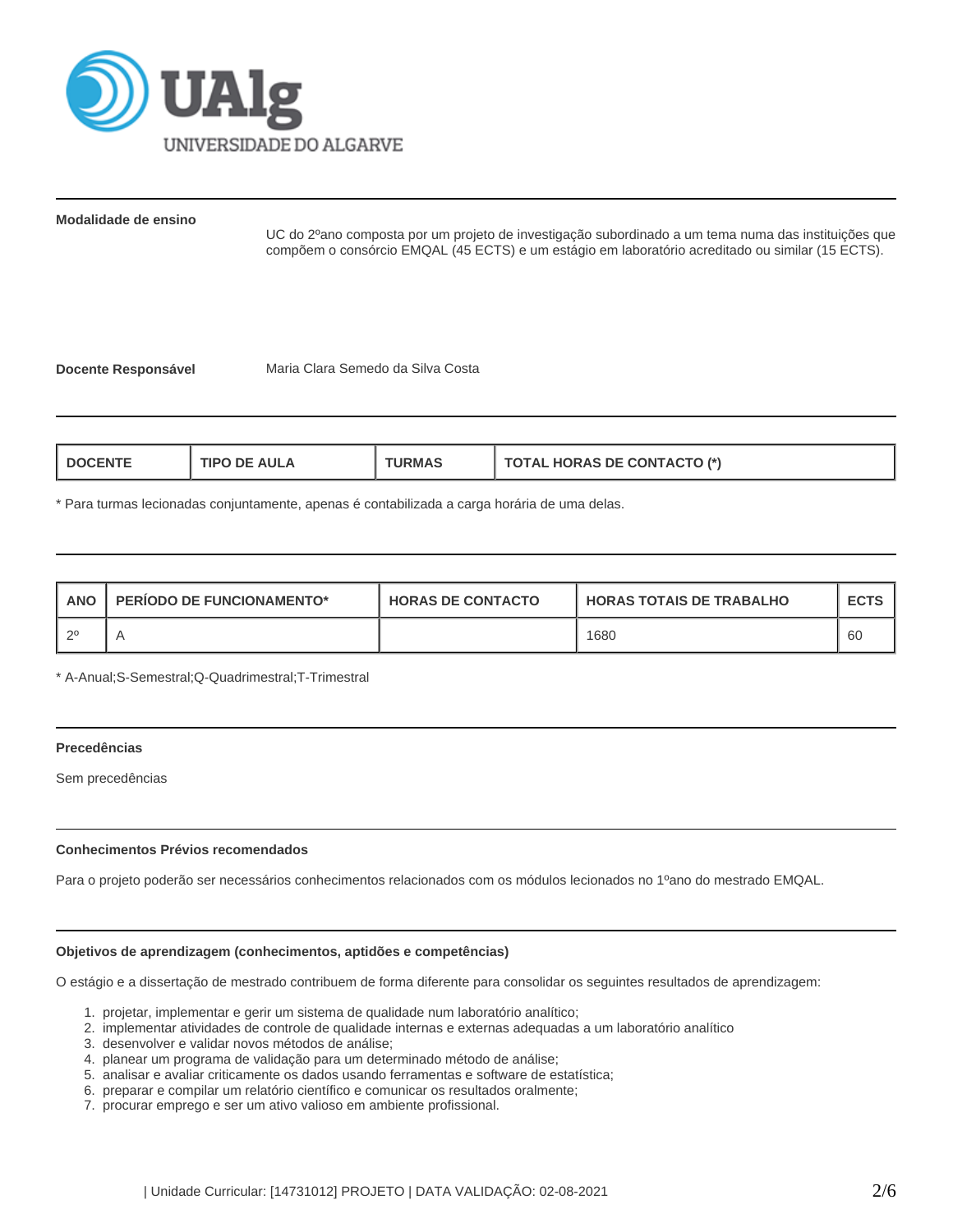

**Modalidade de ensino**

UC do 2ºano composta por um projeto de investigação subordinado a um tema numa das instituições que compõem o consórcio EMQAL (45 ECTS) e um estágio em laboratório acreditado ou similar (15 ECTS).

**Docente Responsável** Maria Clara Semedo da Silva Costa

| AIII A<br>IRM∆<br><b>TIPO</b><br>DE.<br>)CENT | AL HORAS DE CONTACTO (*)<br>1 A J A J |
|-----------------------------------------------|---------------------------------------|
|-----------------------------------------------|---------------------------------------|

\* Para turmas lecionadas conjuntamente, apenas é contabilizada a carga horária de uma delas.

| <b>ANO</b> | <b>PERIODO DE FUNCIONAMENTO*</b> | <b>HORAS DE CONTACTO</b> | <b>I HORAS TOTAIS DE TRABALHO</b> | <b>ECTS</b> |
|------------|----------------------------------|--------------------------|-----------------------------------|-------------|
| ∣ റ0       |                                  |                          | 1680                              | -60         |

\* A-Anual;S-Semestral;Q-Quadrimestral;T-Trimestral

#### **Precedências**

Sem precedências

### **Conhecimentos Prévios recomendados**

Para o projeto poderão ser necessários conhecimentos relacionados com os módulos lecionados no 1ºano do mestrado EMQAL.

#### **Objetivos de aprendizagem (conhecimentos, aptidões e competências)**

O estágio e a dissertação de mestrado contribuem de forma diferente para consolidar os seguintes resultados de aprendizagem:

- 1. projetar, implementar e gerir um sistema de qualidade num laboratório analítico;
- 2. implementar atividades de controle de qualidade internas e externas adequadas a um laboratório analítico
- 3. desenvolver e validar novos métodos de análise;
- 4. planear um programa de validação para um determinado método de análise;
- 5. analisar e avaliar criticamente os dados usando ferramentas e software de estatística;
- 6. preparar e compilar um relatório científico e comunicar os resultados oralmente;
- 7. procurar emprego e ser um ativo valioso em ambiente profissional.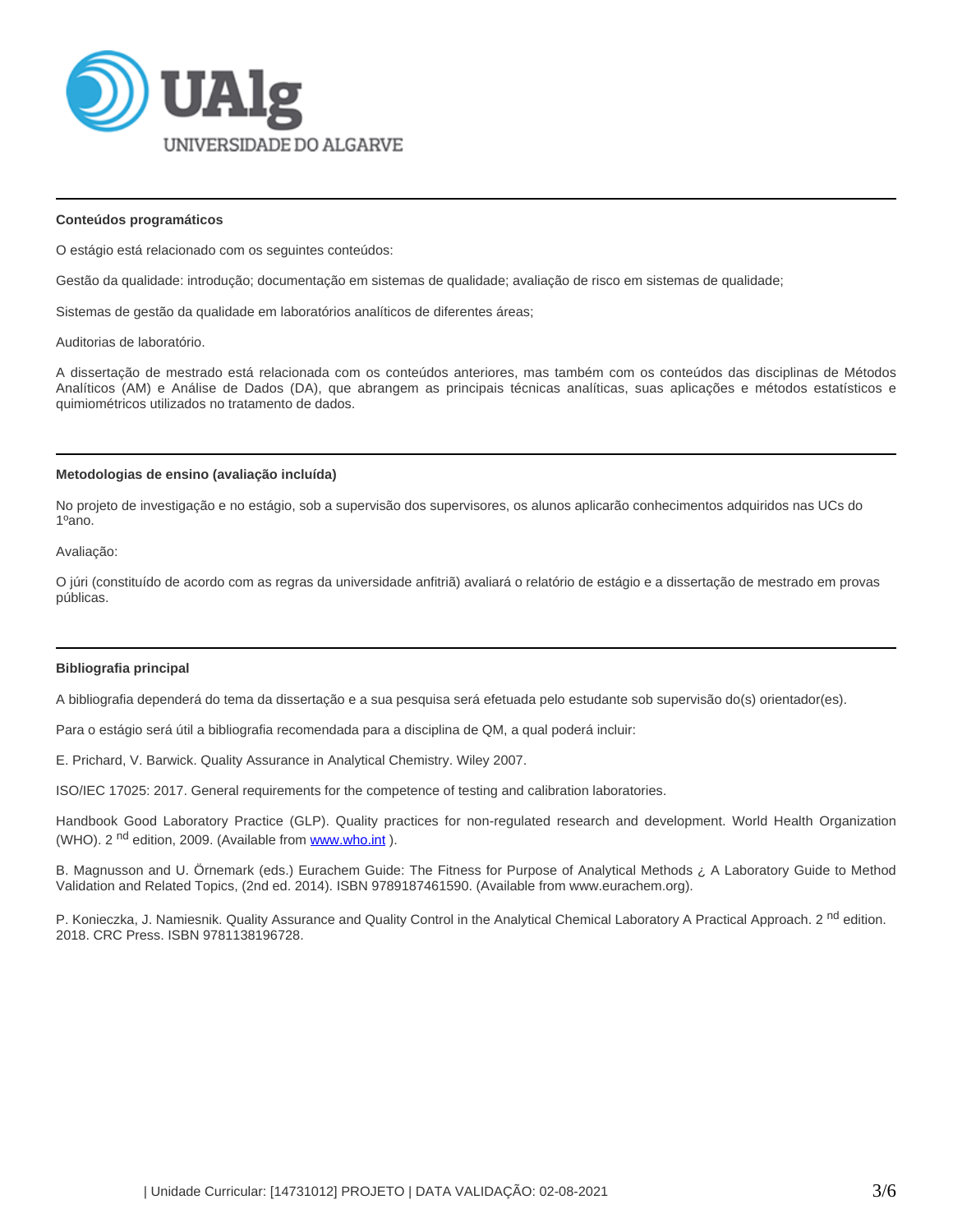

#### **Conteúdos programáticos**

O estágio está relacionado com os seguintes conteúdos:

Gestão da qualidade: introdução; documentação em sistemas de qualidade; avaliação de risco em sistemas de qualidade;

Sistemas de gestão da qualidade em laboratórios analíticos de diferentes áreas;

Auditorias de laboratório.

A dissertação de mestrado está relacionada com os conteúdos anteriores, mas também com os conteúdos das disciplinas de Métodos Analíticos (AM) e Análise de Dados (DA), que abrangem as principais técnicas analíticas, suas aplicações e métodos estatísticos e quimiométricos utilizados no tratamento de dados.

#### **Metodologias de ensino (avaliação incluída)**

No projeto de investigação e no estágio, sob a supervisão dos supervisores, os alunos aplicarão conhecimentos adquiridos nas UCs do 1ºano.

Avaliação:

O júri (constituído de acordo com as regras da universidade anfitriã) avaliará o relatório de estágio e a dissertação de mestrado em provas públicas.

### **Bibliografia principal**

A bibliografia dependerá do tema da dissertação e a sua pesquisa será efetuada pelo estudante sob supervisão do(s) orientador(es).

Para o estágio será útil a bibliografia recomendada para a disciplina de QM, a qual poderá incluir:

E. Prichard, V. Barwick. Quality Assurance in Analytical Chemistry. Wiley 2007.

ISO/IEC 17025: 2017. General requirements for the competence of testing and calibration laboratories.

Handbook Good Laboratory Practice (GLP). Quality practices for non-regulated research and development. World Health Organization (WHO).2<sup>nd</sup> edition, 2009. (Available from www.who.int).

B. Magnusson and U. Örnemark (eds.) Eurachem Guide: The Fitness for Purpose of Analytical Methods ¿ A Laboratory Guide to Method Validation and Related Topics, (2nd ed. 2014). ISBN 9789187461590. (Available from www.eurachem.org).

P. Konieczka, J. Namiesnik. Quality Assurance and Quality Control in the Analytical Chemical Laboratory A Practical Approach. 2<sup>nd</sup> edition. 2018. CRC Press. ISBN 9781138196728.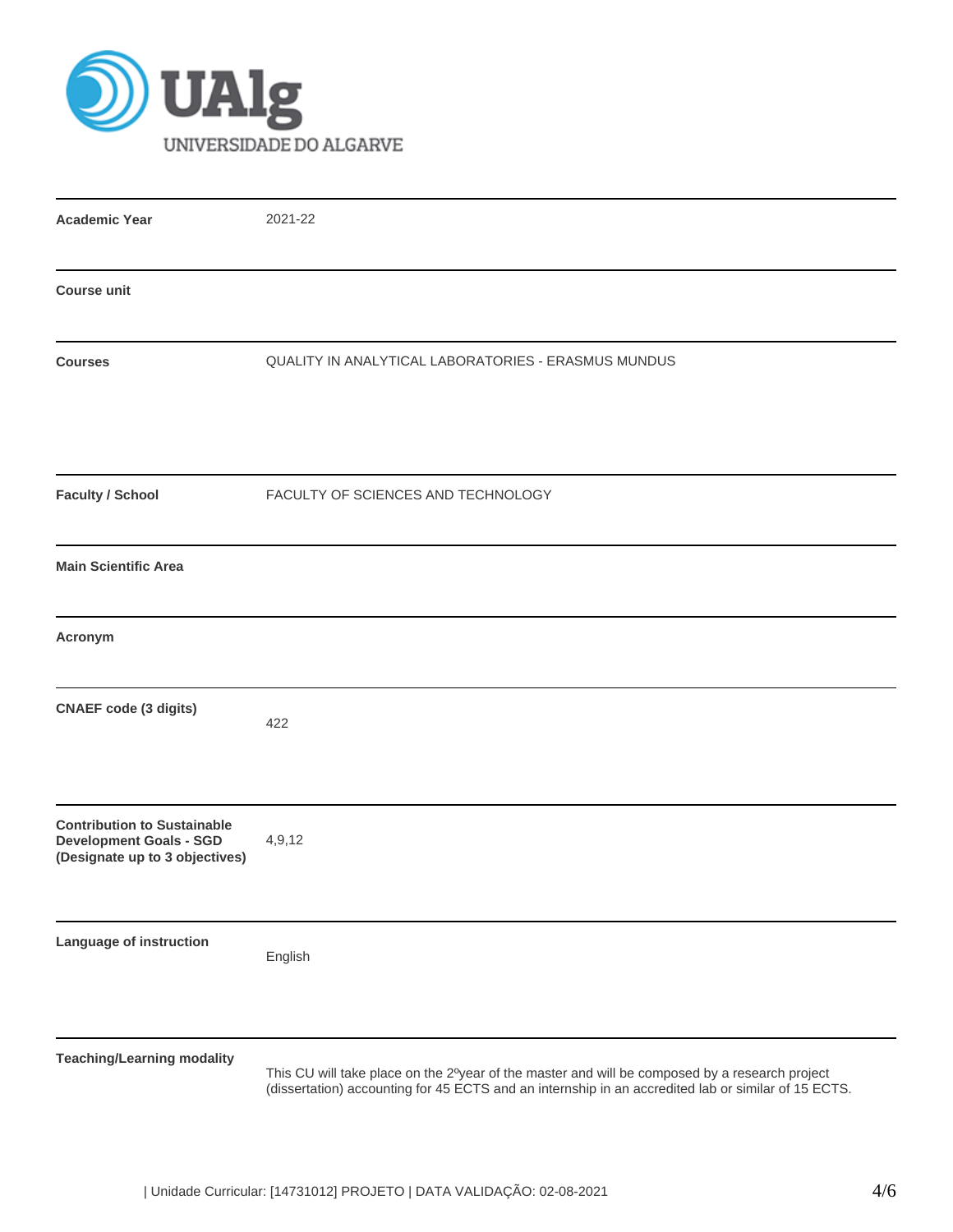

| <b>Academic Year</b>                                                                                   | 2021-22                                                                                                                                                                                               |
|--------------------------------------------------------------------------------------------------------|-------------------------------------------------------------------------------------------------------------------------------------------------------------------------------------------------------|
| <b>Course unit</b>                                                                                     |                                                                                                                                                                                                       |
| <b>Courses</b>                                                                                         | QUALITY IN ANALYTICAL LABORATORIES - ERASMUS MUNDUS                                                                                                                                                   |
| <b>Faculty / School</b>                                                                                | FACULTY OF SCIENCES AND TECHNOLOGY                                                                                                                                                                    |
| <b>Main Scientific Area</b>                                                                            |                                                                                                                                                                                                       |
| Acronym                                                                                                |                                                                                                                                                                                                       |
| <b>CNAEF code (3 digits)</b>                                                                           | 422                                                                                                                                                                                                   |
| <b>Contribution to Sustainable</b><br><b>Development Goals - SGD</b><br>(Designate up to 3 objectives) | 4,9,12                                                                                                                                                                                                |
| Language of instruction                                                                                | English                                                                                                                                                                                               |
| <b>Teaching/Learning modality</b>                                                                      | This CU will take place on the 2°year of the master and will be composed by a research project<br>(dissertation) accounting for 45 ECTS and an internship in an accredited lab or similar of 15 ECTS. |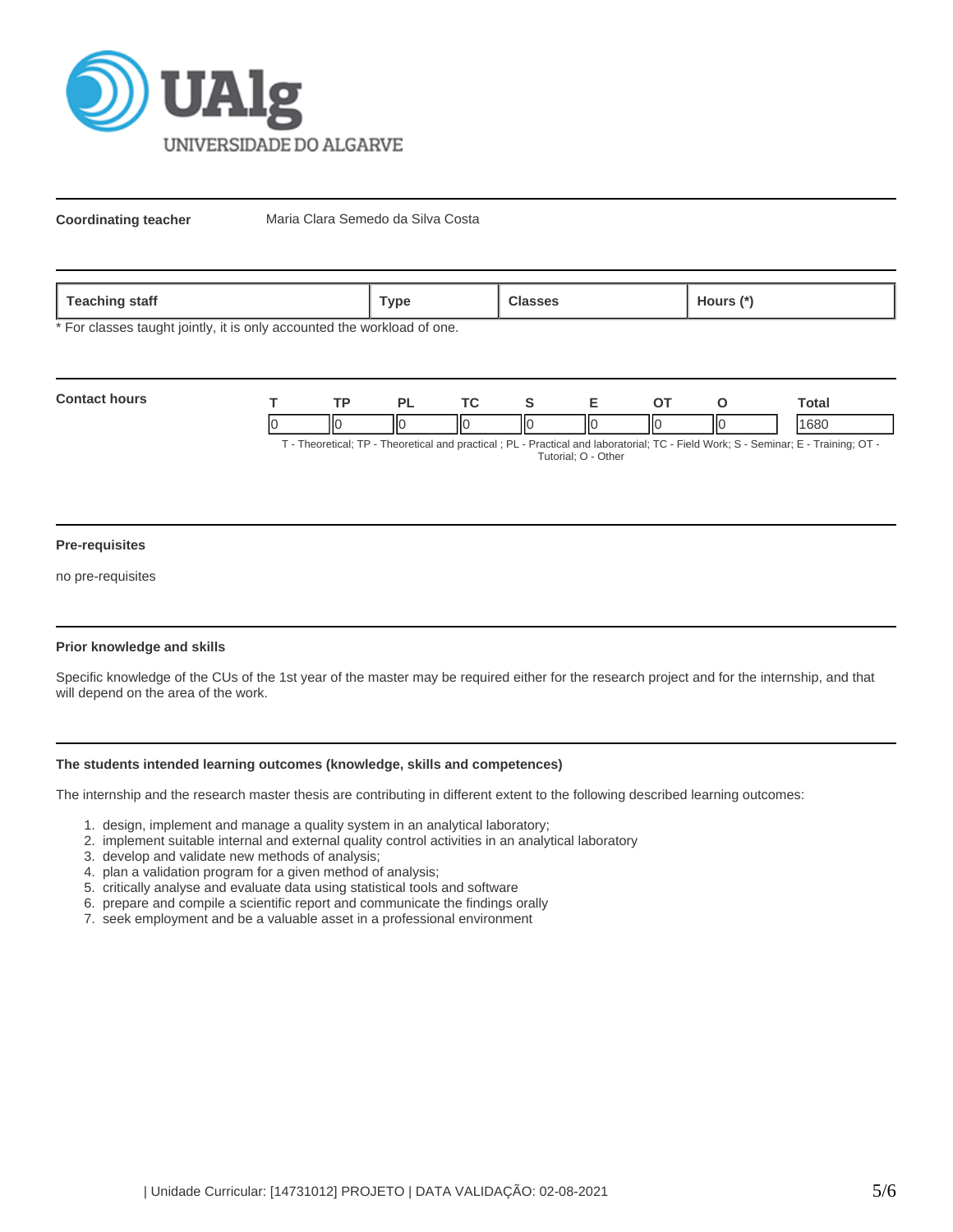

**Coordinating teacher** Maria Clara Semedo da Silva Costa

| 020<br>statt<br><b>COLLIN</b><br>- | vpe' |  | ours |
|------------------------------------|------|--|------|
|------------------------------------|------|--|------|

\* For classes taught jointly, it is only accounted the workload of one.

| <b>Contact hours</b> | <b>TD</b> | DІ |     |  |     | Total                                                                                                                        |
|----------------------|-----------|----|-----|--|-----|------------------------------------------------------------------------------------------------------------------------------|
|                      |           | ΙЮ | IІс |  | IІC | 1680                                                                                                                         |
|                      |           |    |     |  |     | T. Theoretical: TD. Theoretical and prootical : DL. Drastical and laboratorial: TC. Eight Wark: C. Cominar: E. Troining: OT. |

- Theoretical; TP - Theoretical and practical ; PL - Practical and laboratorial; TC - Field Work; S - Seminar; E - Training; OT Tutorial; O - Other

#### **Pre-requisites**

no pre-requisites

### **Prior knowledge and skills**

Specific knowledge of the CUs of the 1st year of the master may be required either for the research project and for the internship, and that will depend on the area of the work.

## **The students intended learning outcomes (knowledge, skills and competences)**

The internship and the research master thesis are contributing in different extent to the following described learning outcomes:

- 1. design, implement and manage a quality system in an analytical laboratory;
- 2. implement suitable internal and external quality control activities in an analytical laboratory
- 3. develop and validate new methods of analysis;
- 4. plan a validation program for a given method of analysis;
- 5. critically analyse and evaluate data using statistical tools and software
- 6. prepare and compile a scientific report and communicate the findings orally
- 7. seek employment and be a valuable asset in a professional environment